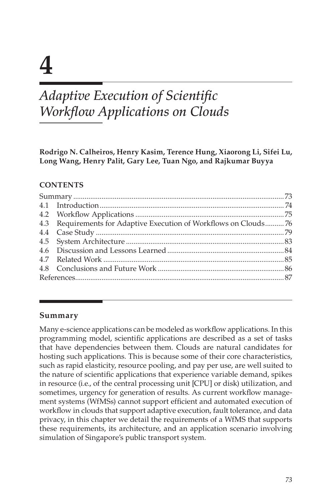# **4**

# *Adaptive Execution of Scientific Workflow Applications on Clouds*

**Rodrigo N. Calheiros, Henry Kasim, Terence Hung, Xiaorong Li, Sifei Lu, Long Wang, Henry Palit, Gary Lee, Tuan Ngo, and Rajkumar Buyya**

# **CONTENTS**

| 4.3 Requirements for Adaptive Execution of Workflows on Clouds76 |  |  |  |
|------------------------------------------------------------------|--|--|--|
|                                                                  |  |  |  |
|                                                                  |  |  |  |
|                                                                  |  |  |  |
|                                                                  |  |  |  |
|                                                                  |  |  |  |
|                                                                  |  |  |  |
|                                                                  |  |  |  |

# **Summary**

Many e-science applications can be modeled as workflow applications. In this programming model, scientific applications are described as a set of tasks that have dependencies between them. Clouds are natural candidates for hosting such applications. This is because some of their core characteristics, such as rapid elasticity, resource pooling, and pay per use, are well suited to the nature of scientific applications that experience variable demand, spikes in resource (i.e., of the central processing unit [CPU] or disk) utilization, and sometimes, urgency for generation of results. As current workflow management systems (WfMSs) cannot support efficient and automated execution of workflow in clouds that support adaptive execution, fault tolerance, and data privacy, in this chapter we detail the requirements of a WfMS that supports these requirements, its architecture, and an application scenario involving simulation of Singapore's public transport system.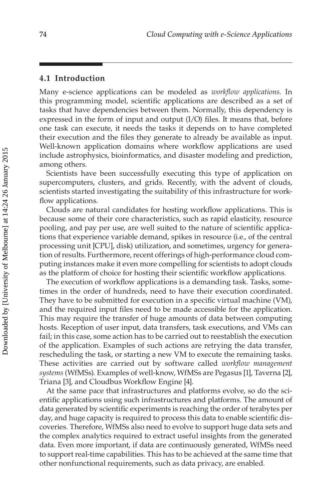#### **4.1 Introduction**

Many e-science applications can be modeled as *workflow applications.* In this programming model, scientific applications are described as a set of tasks that have dependencies between them. Normally, this dependency is expressed in the form of input and output (I/O) files. It means that, before one task can execute, it needs the tasks it depends on to have completed their execution and the files they generate to already be available as input. Well-known application domains where workflow applications are used include astrophysics, bioinformatics, and disaster modeling and prediction, among others.

Scientists have been successfully executing this type of application on supercomputers, clusters, and grids. Recently, with the advent of clouds, scientists started investigating the suitability of this infrastructure for workflow applications.

Clouds are natural candidates for hosting workflow applications. This is because some of their core characteristics, such as rapid elasticity, resource pooling, and pay per use, are well suited to the nature of scientific applications that experience variable demand, spikes in resource (i.e., of the central processing unit [CPU], disk) utilization, and sometimes, urgency for generation of results. Furthermore, recent offerings of high-performance cloud computing instances make it even more compelling for scientists to adopt clouds as the platform of choice for hosting their scientific workflow applications.

The execution of workflow applications is a demanding task. Tasks, sometimes in the order of hundreds, need to have their execution coordinated. They have to be submitted for execution in a specific virtual machine (VM), and the required input files need to be made accessible for the application. This may require the transfer of huge amounts of data between computing hosts. Reception of user input, data transfers, task executions, and VMs can fail; in this case, some action has to be carried out to reestablish the execution of the application. Examples of such actions are retrying the data transfer, rescheduling the task, or starting a new VM to execute the remaining tasks. These activities are carried out by software called *workflow management systems* (WfMSs). Examples of well-know, WfMSs are Pegasus [1], Taverna [2], Triana [3], and Cloudbus Workflow Engine [4].

At the same pace that infrastructures and platforms evolve, so do the scientific applications using such infrastructures and platforms. The amount of data generated by scientific experiments is reaching the order of terabytes per day, and huge capacity is required to process this data to enable scientific discoveries. Therefore, WfMSs also need to evolve to support huge data sets and the complex analytics required to extract useful insights from the generated data. Even more important, if data are continuously generated, WfMSs need to support real-time capabilities. This has to be achieved at the same time that other nonfunctional requirements, such as data privacy, are enabled.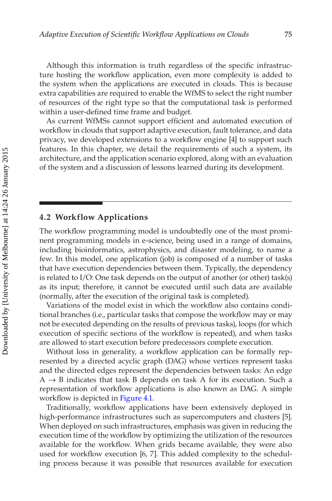Although this information is truth regardless of the specific infrastructure hosting the workflow application, even more complexity is added to the system when the applications are executed in clouds. This is because extra capabilities are required to enable the WfMS to select the right number of resources of the right type so that the computational task is performed within a user-defined time frame and budget.

As current WfMSs cannot support efficient and automated execution of workflow in clouds that support adaptive execution, fault tolerance, and data privacy, we developed extensions to a workflow engine [4] to support such features. In this chapter, we detail the requirements of such a system, its architecture, and the application scenario explored, along with an evaluation of the system and a discussion of lessons learned during its development.

#### **4.2 Workflow Applications**

The workflow programming model is undoubtedly one of the most prominent programming models in e-science, being used in a range of domains, including bioinformatics, astrophysics, and disaster modeling, to name a few. In this model, one application (job) is composed of a number of tasks that have execution dependencies between them. Typically, the dependency is related to I/O: One task depends on the output of another (or other) task(s) as its input; therefore, it cannot be executed until such data are available (normally, after the execution of the original task is completed).

Variations of the model exist in which the workflow also contains conditional branches (i.e., particular tasks that compose the workflow may or may not be executed depending on the results of previous tasks), loops (for which execution of specific sections of the workflow is repeated), and when tasks are allowed to start execution before predecessors complete execution.

Without loss in generality, a workflow application can be formally represented by a directed acyclic graph (DAG) whose vertices represent tasks and the directed edges represent the dependencies between tasks: An edge  $A \rightarrow B$  indicates that task B depends on task A for its execution. Such a representation of workflow applications is also known as DAG. A simple workflow is depicted in [Figure 4.1](#page-3-0).

Traditionally, workflow applications have been extensively deployed in high-performance infrastructures such as supercomputers and clusters [5]. When deployed on such infrastructures, emphasis was given in reducing the execution time of the workflow by optimizing the utilization of the resources available for the workflow. When grids became available, they were also used for workflow execution [6, 7]. This added complexity to the scheduling process because it was possible that resources available for execution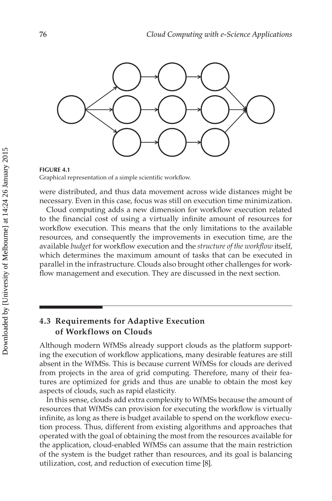<span id="page-3-0"></span>

#### **FIGURE 4.1**

Graphical representation of a simple scientific workflow.

were distributed, and thus data movement across wide distances might be necessary. Even in this case, focus was still on execution time minimization.

Cloud computing adds a new dimension for workflow execution related to the financial cost of using a virtually infinite amount of resources for workflow execution. This means that the only limitations to the available resources, and consequently the improvements in execution time, are the available *budget* for workflow execution and the *structure of the workflow* itself, which determines the maximum amount of tasks that can be executed in parallel in the infrastructure. Clouds also brought other challenges for workflow management and execution. They are discussed in the next section.

# **4.3 Requirements for Adaptive Execution of Workflows on Clouds**

Although modern WfMSs already support clouds as the platform supporting the execution of workflow applications, many desirable features are still absent in the WfMSs. This is because current WfMSs for clouds are derived from projects in the area of grid computing. Therefore, many of their features are optimized for grids and thus are unable to obtain the most key aspects of clouds, such as rapid elasticity.

In this sense, clouds add extra complexity to WfMSs because the amount of resources that WfMSs can provision for executing the workflow is virtually infinite, as long as there is budget available to spend on the workflow execution process. Thus, different from existing algorithms and approaches that operated with the goal of obtaining the most from the resources available for the application, cloud-enabled WfMSs can assume that the main restriction of the system is the budget rather than resources, and its goal is balancing utilization, cost, and reduction of execution time [8].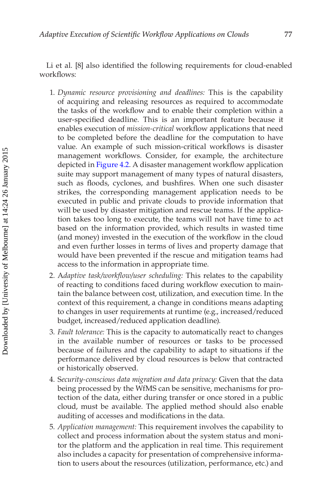Li et al. [8] also identified the following requirements for cloud-enabled workflows:

- 1. *Dynamic resource provisioning and deadlines:* This is the capability of acquiring and releasing resources as required to accommodate the tasks of the workflow and to enable their completion within a user-specified deadline. This is an important feature because it enables execution of *mission-critical* workflow applications that need to be completed before the deadline for the computation to have value. An example of such mission-critical workflows is disaster management workflows. Consider, for example, the architecture depicted in [Figure 4.2](#page-5-0). A disaster management workflow application suite may support management of many types of natural disasters, such as floods, cyclones, and bushfires. When one such disaster strikes, the corresponding management application needs to be executed in public and private clouds to provide information that will be used by disaster mitigation and rescue teams. If the application takes too long to execute, the teams will not have time to act based on the information provided, which results in wasted time (and money) invested in the execution of the workflow in the cloud and even further losses in terms of lives and property damage that would have been prevented if the rescue and mitigation teams had access to the information in appropriate time.
- 2. A*daptive task/workflow/user scheduling:* This relates to the capability of reacting to conditions faced during workflow execution to maintain the balance between cost, utilization, and execution time. In the context of this requirement, a change in conditions means adapting to changes in user requirements at runtime (e.g., increased/reduced budget, increased/reduced application deadline).
- 3. *Fault tolerance:* This is the capacity to automatically react to changes in the available number of resources or tasks to be processed because of failures and the capability to adapt to situations if the performance delivered by cloud resources is below that contracted or historically observed.
- 4. S*ecurity-conscious data migration and data privacy:* Given that the data being processed by the WfMS can be sensitive, mechanisms for protection of the data, either during transfer or once stored in a public cloud, must be available. The applied method should also enable auditing of accesses and modifications in the data.
- 5. *Application management:* This requirement involves the capability to collect and process information about the system status and monitor the platform and the application in real time. This requirement also includes a capacity for presentation of comprehensive information to users about the resources (utilization, performance, etc.) and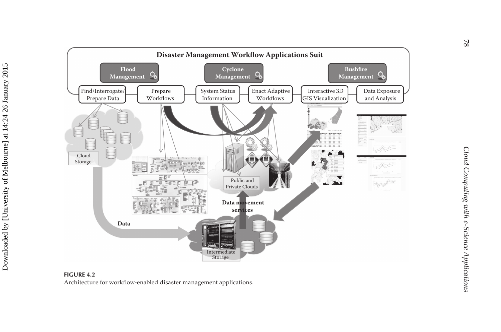<span id="page-5-0"></span>

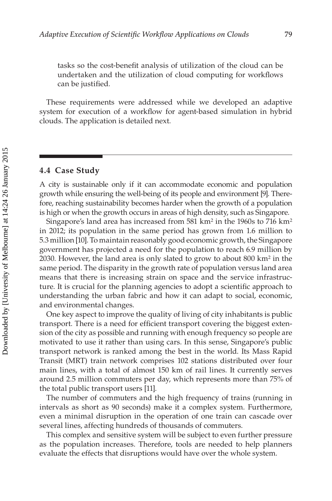tasks so the cost-benefit analysis of utilization of the cloud can be undertaken and the utilization of cloud computing for workflows can be justified.

These requirements were addressed while we developed an adaptive system for execution of a workflow for agent-based simulation in hybrid clouds. The application is detailed next.

#### **4.4 Case Study**

A city is sustainable only if it can accommodate economic and population growth while ensuring the well-being of its people and environment [9]. Therefore, reaching sustainability becomes harder when the growth of a population is high or when the growth occurs in areas of high density, such as Singapore.

Singapore's land area has increased from  $581 \text{ km}^2$  in the 1960s to  $716 \text{ km}^2$ in 2012; its population in the same period has grown from 1.6 million to 5.3 million [10]. To maintain reasonably good economic growth, the Singapore government has projected a need for the population to reach 6.9 million by 2030. However, the land area is only slated to grow to about 800 km2 in the same period. The disparity in the growth rate of population versus land area means that there is increasing strain on space and the service infrastructure. It is crucial for the planning agencies to adopt a scientific approach to understanding the urban fabric and how it can adapt to social, economic, and environmental changes.

One key aspect to improve the quality of living of city inhabitants is public transport. There is a need for efficient transport covering the biggest extension of the city as possible and running with enough frequency so people are motivated to use it rather than using cars. In this sense, Singapore's public transport network is ranked among the best in the world. Its Mass Rapid Transit (MRT) train network comprises 102 stations distributed over four main lines, with a total of almost 150 km of rail lines. It currently serves around 2.5 million commuters per day, which represents more than 75% of the total public transport users [11].

The number of commuters and the high frequency of trains (running in intervals as short as 90 seconds) make it a complex system. Furthermore, even a minimal disruption in the operation of one train can cascade over several lines, affecting hundreds of thousands of commuters.

This complex and sensitive system will be subject to even further pressure as the population increases. Therefore, tools are needed to help planners evaluate the effects that disruptions would have over the whole system.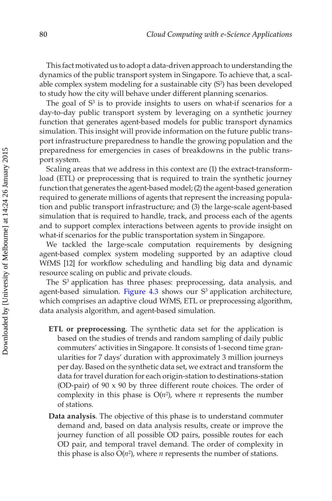This fact motivated us to adopt a data-driven approach to understanding the dynamics of the public transport system in Singapore. To achieve that, a scalable complex system modeling for a sustainable city (S<sup>3</sup>) has been developed to study how the city will behave under different planning scenarios.

The goal of  $S<sup>3</sup>$  is to provide insights to users on what-if scenarios for a day-to-day public transport system by leveraging on a synthetic journey function that generates agent-based models for public transport dynamics simulation. This insight will provide information on the future public transport infrastructure preparedness to handle the growing population and the preparedness for emergencies in cases of breakdowns in the public transport system.

Scaling areas that we address in this context are (1) the extract-transformload (ETL) or preprocessing that is required to train the synthetic journey function that generates the agent-based model; (2) the agent-based generation required to generate millions of agents that represent the increasing population and public transport infrastructure; and (3) the large-scale agent-based simulation that is required to handle, track, and process each of the agents and to support complex interactions between agents to provide insight on what-if scenarios for the public transportation system in Singapore.

We tackled the large-scale computation requirements by designing agent-based complex system modeling supported by an adaptive cloud WfMS [12] for workflow scheduling and handling big data and dynamic resource scaling on public and private clouds.

The S<sup>3</sup> application has three phases: preprocessing, data analysis, and agent-based simulation. Figure  $4.3$  shows our  $S<sup>3</sup>$  application architecture, which comprises an adaptive cloud WfMS, ETL or preprocessing algorithm, data analysis algorithm, and agent-based simulation.

- **ETL or preprocessing**. The synthetic data set for the application is based on the studies of trends and random sampling of daily public commuters' activities in Singapore. It consists of 1-second time granularities for 7 days' duration with approximately 3 million journeys per day. Based on the synthetic data set, we extract and transform the data for travel duration for each origin-station to destinations-station (OD-pair) of 90 x 90 by three different route choices. The order of complexity in this phase is  $O(n^2)$ , where *n* represents the number of stations.
- **Data analysis**. The objective of this phase is to understand commuter demand and, based on data analysis results, create or improve the journey function of all possible OD pairs, possible routes for each OD pair, and temporal travel demand. The order of complexity in this phase is also  $O(n^2)$ , where *n* represents the number of stations.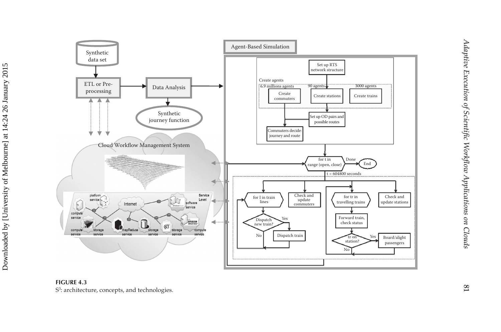<span id="page-8-0"></span>



Downloaded by [University of Melbourne] at 14:24 26 January 2015 Downloaded by [University of Melbourne] at 14:24 26 January 2015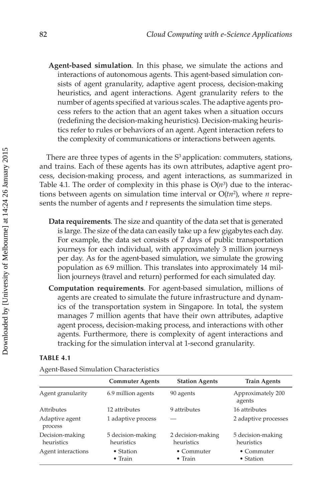**Agent-based simulation**. In this phase, we simulate the actions and interactions of autonomous agents. This agent-based simulation consists of agent granularity, adaptive agent process, decision-making heuristics, and agent interactions. Agent granularity refers to the number of agents specified at various scales. The adaptive agents process refers to the action that an agent takes when a situation occurs (redefining the decision-making heuristics). Decision-making heuristics refer to rules or behaviors of an agent. Agent interaction refers to the complexity of communications or interactions between agents.

There are three types of agents in the  $S<sup>3</sup>$  application: commuters, stations, and trains. Each of these agents has its own attributes, adaptive agent process, decision-making process, and agent interactions, as summarized in Table 4.1. The order of complexity in this phase is  $O(n^3)$  due to the interactions between agents on simulation time interval or O(*tn*<sup>2</sup> ), where *n* represents the number of agents and *t* represents the simulation time steps.

- **Data requirements**. The size and quantity of the data set that is generated is large. The size of the data can easily take up a few gigabytes each day. For example, the data set consists of 7 days of public transportation journeys for each individual, with approximately 3 million journeys per day. As for the agent-based simulation, we simulate the growing population as 6.9 million. This translates into approximately 14 million journeys (travel and return) performed for each simulated day.
- **Computation requirements**. For agent-based simulation, millions of agents are created to simulate the future infrastructure and dynamics of the transportation system in Singapore. In total, the system manages 7 million agents that have their own attributes, adaptive agent process, decision-making process, and interactions with other agents. Furthermore, there is complexity of agent interactions and tracking for the simulation interval at 1-second granularity.

#### **TABLE 4.1**

|                               | <b>Commuter Agents</b>               | <b>Station Agents</b>                 | <b>Train Agents</b>             |
|-------------------------------|--------------------------------------|---------------------------------------|---------------------------------|
| Agent granularity             | 6.9 million agents                   | 90 agents                             | Approximately 200<br>agents     |
| <b>Attributes</b>             | 12 attributes                        | 9 attributes                          | 16 attributes                   |
| Adaptive agent<br>process     | 1 adaptive process                   |                                       | 2 adaptive processes            |
| Decision-making<br>heuristics | 5 decision-making<br>heuristics      | 2 decision-making<br>heuristics       | 5 decision-making<br>heuristics |
| Agent interactions            | $\bullet$ Station<br>$\bullet$ Train | $\bullet$ Commuter<br>$\bullet$ Train | $\bullet$ Commuter<br>• Station |

Agent-Based Simulation Characteristics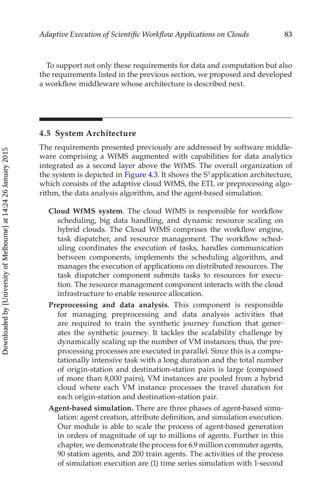To support not only these requirements for data and computation but also the requirements listed in the previous section, we proposed and developed a workflow middleware whose architecture is described next.

#### **4.5 System Architecture**

The requirements presented previously are addressed by software middleware comprising a WfMS augmented with capabilities for data analytics integrated as a second layer above the WfMS. The overall organization of the system is depicted in [Figure 4.3](#page-8-0). It shows the  $S<sup>3</sup>$  application architecture, which consists of the adaptive cloud WfMS, the ETL or preprocessing algorithm, the data analysis algorithm, and the agent-based simulation.

- **Cloud WfMS system**. The cloud WfMS is responsible for workflow scheduling, big data handling, and dynamic resource scaling on hybrid clouds. The Cloud WfMS comprises the workflow engine, task dispatcher, and resource management. The workflow scheduling coordinates the execution of tasks, handles communication between components, implements the scheduling algorithm, and manages the execution of applications on distributed resources. The task dispatcher component submits tasks to resources for execution. The resource management component interacts with the cloud infrastructure to enable resource allocation.
- **Preprocessing and data analysis**. This component is responsible for managing preprocessing and data analysis activities that are required to train the synthetic journey function that generates the synthetic journey. It tackles the scalability challenge by dynamically scaling up the number of VM instances; thus, the preprocessing processes are executed in parallel. Since this is a computationally intensive task with a long duration and the total number of origin-station and destination-station pairs is large (composed of more than 8,000 pairs), VM instances are pooled from a hybrid cloud where each VM instance processes the travel duration for each origin-station and destination-station pair.
- **Agent-based simulation.** There are three phases of agent-based simulation: agent creation, attribute definition, and simulation execution. Our module is able to scale the process of agent-based generation in orders of magnitude of up to millions of agents. Further in this chapter, we demonstrate the process for 6.9 million commuter agents, 90 station agents, and 200 train agents. The activities of the process of simulation execution are (1) time series simulation with 1-second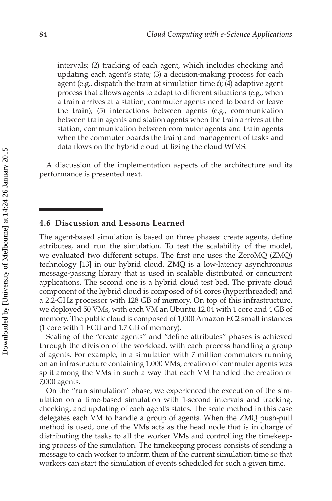intervals; (2) tracking of each agent, which includes checking and updating each agent's state; (3) a decision-making process for each agent (e.g., dispatch the train at simulation time *t*); (4) adaptive agent process that allows agents to adapt to different situations (e.g., when a train arrives at a station, commuter agents need to board or leave the train); (5) interactions between agents (e.g., communication between train agents and station agents when the train arrives at the station, communication between commuter agents and train agents when the commuter boards the train) and management of tasks and data flows on the hybrid cloud utilizing the cloud WfMS.

A discussion of the implementation aspects of the architecture and its performance is presented next.

### **4.6 Discussion and Lessons Learned**

The agent-based simulation is based on three phases: create agents, define attributes, and run the simulation. To test the scalability of the model, we evaluated two different setups. The first one uses the ZeroMQ (ZMQ) technology [13] in our hybrid cloud. ZMQ is a low-latency asynchronous message-passing library that is used in scalable distributed or concurrent applications. The second one is a hybrid cloud test bed. The private cloud component of the hybrid cloud is composed of 64 cores (hyperthreaded) and a 2.2-GHz processor with 128 GB of memory. On top of this infrastructure, we deployed 50 VMs, with each VM an Ubuntu 12.04 with 1 core and 4 GB of memory. The public cloud is composed of 1,000 Amazon EC2 small instances (1 core with 1 ECU and 1.7 GB of memory).

Scaling of the "create agents" and "define attributes" phases is achieved through the division of the workload, with each process handling a group of agents. For example, in a simulation with 7 million commuters running on an infrastructure containing 1,000 VMs, creation of commuter agents was split among the VMs in such a way that each VM handled the creation of 7,000 agents.

On the "run simulation" phase, we experienced the execution of the simulation on a time-based simulation with 1-second intervals and tracking, checking, and updating of each agent's states. The scale method in this case delegates each VM to handle a group of agents. When the ZMQ push-pull method is used, one of the VMs acts as the head node that is in charge of distributing the tasks to all the worker VMs and controlling the timekeeping process of the simulation. The timekeeping process consists of sending a message to each worker to inform them of the current simulation time so that workers can start the simulation of events scheduled for such a given time.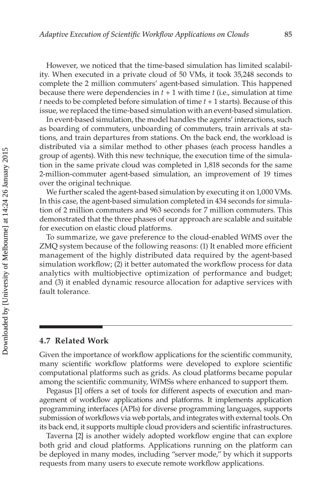However, we noticed that the time-based simulation has limited scalability. When executed in a private cloud of 50 VMs, it took 35,248 seconds to complete the 2 million commuters' agent-based simulation. This happened because there were dependencies in *t* + 1 with time *t* (i.e., simulation at time *t* needs to be completed before simulation of time *t* + 1 starts). Because of this issue, we replaced the time-based simulation with an event-based simulation.

In event-based simulation, the model handles the agents' interactions, such as boarding of commuters, unboarding of commuters, train arrivals at stations, and train departures from stations. On the back end, the workload is distributed via a similar method to other phases (each process handles a group of agents). With this new technique, the execution time of the simulation in the same private cloud was completed in 1,818 seconds for the same 2-million-commuter agent-based simulation, an improvement of 19 times over the original technique.

We further scaled the agent-based simulation by executing it on 1,000 VMs. In this case, the agent-based simulation completed in 434 seconds for simulation of 2 million commuters and 963 seconds for 7 million commuters. This demonstrated that the three phases of our approach are scalable and suitable for execution on elastic cloud platforms.

To summarize, we gave preference to the cloud-enabled WfMS over the ZMQ system because of the following reasons: (1) It enabled more efficient management of the highly distributed data required by the agent-based simulation workflow; (2) it better automated the workflow process for data analytics with multiobjective optimization of performance and budget; and (3) it enabled dynamic resource allocation for adaptive services with fault tolerance.

#### **4.7 Related Work**

Given the importance of workflow applications for the scientific community, many scientific workflow platforms were developed to explore scientific computational platforms such as grids. As cloud platforms became popular among the scientific community, WfMSs where enhanced to support them.

Pegasus [1] offers a set of tools for different aspects of execution and management of workflow applications and platforms. It implements application programming interfaces (APIs) for diverse programming languages, supports submission of workflows via web portals, and integrates with external tools. On its back end, it supports multiple cloud providers and scientific infrastructures.

Taverna [2] is another widely adopted workflow engine that can explore both grid and cloud platforms. Applications running on the platform can be deployed in many modes, including "server mode," by which it supports requests from many users to execute remote workflow applications.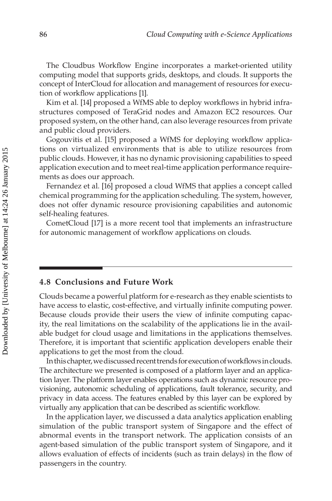The Cloudbus Workflow Engine incorporates a market-oriented utility computing model that supports grids, desktops, and clouds. It supports the concept of InterCloud for allocation and management of resources for execution of workflow applications [1].

Kim et al. [14] proposed a WfMS able to deploy workflows in hybrid infrastructures composed of TeraGrid nodes and Amazon EC2 resources. Our proposed system, on the other hand, can also leverage resources from private and public cloud providers.

Gogouvitis et al. [15] proposed a WfMS for deploying workflow applications on virtualized environments that is able to utilize resources from public clouds. However, it has no dynamic provisioning capabilities to speed application execution and to meet real-time application performance requirements as does our approach.

Fernandez et al. [16] proposed a cloud WfMS that applies a concept called chemical programming for the application scheduling. The system, however, does not offer dynamic resource provisioning capabilities and autonomic self-healing features.

CometCloud [17] is a more recent tool that implements an infrastructure for autonomic management of workflow applications on clouds.

#### **4.8 Conclusions and Future Work**

Clouds became a powerful platform for e-research as they enable scientists to have access to elastic, cost-effective, and virtually infinite computing power. Because clouds provide their users the view of infinite computing capacity, the real limitations on the scalability of the applications lie in the available budget for cloud usage and limitations in the applications themselves. Therefore, it is important that scientific application developers enable their applications to get the most from the cloud.

In this chapter, we discussed recent trends for execution of workflows in clouds. The architecture we presented is composed of a platform layer and an application layer. The platform layer enables operations such as dynamic resource provisioning, autonomic scheduling of applications, fault tolerance, security, and privacy in data access. The features enabled by this layer can be explored by virtually any application that can be described as scientific workflow.

In the application layer, we discussed a data analytics application enabling simulation of the public transport system of Singapore and the effect of abnormal events in the transport network. The application consists of an agent-based simulation of the public transport system of Singapore, and it allows evaluation of effects of incidents (such as train delays) in the flow of passengers in the country.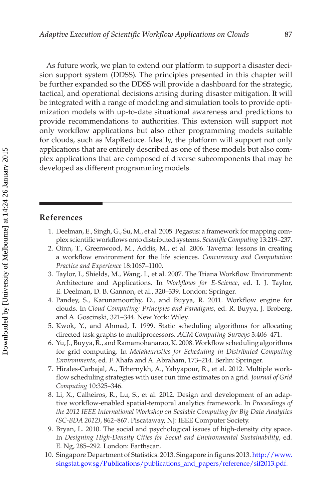As future work, we plan to extend our platform to support a disaster decision support system (DDSS). The principles presented in this chapter will be further expanded so the DDSS will provide a dashboard for the strategic, tactical, and operational decisions arising during disaster mitigation. It will be integrated with a range of modeling and simulation tools to provide optimization models with up-to-date situational awareness and predictions to provide recommendations to authorities. This extension will support not only workflow applications but also other programming models suitable for clouds, such as MapReduce. Ideally, the platform will support not only applications that are entirely described as one of these models but also complex applications that are composed of diverse subcomponents that may be developed as different programming models.

#### **References**

- 1. Deelman, E., Singh, G., Su, M., et al. 2005. Pegasus: a framework for mapping complex scientific workflows onto distributed systems. *Scientific Computing* 13:219–237.
- 2. Oinn, T., Greenwood, M., Addis, M., et al. 2006. Taverna: lessons in creating a workflow environment for the life sciences. *Concurrency and Computation: Practice and Experience* 18:1067–1100.
- 3. Taylor, I., Shields, M., Wang, I., et al. 2007. The Triana Workflow Environment: Architecture and Applications. In *Workflows for E-Science*, ed. I. J. Taylor, E. Deelman, D. B. Gannon, et al., 320–339. London: Springer.
- 4. Pandey, S., Karunamoorthy, D., and Buyya, R. 2011. Workflow engine for clouds. In *Cloud Computing: Principles and Paradigms*, ed. R. Buyya, J. Broberg, and A. Goscinski, 321–344. New York: Wiley.
- 5. Kwok, Y., and Ahmad, I. 1999. Static scheduling algorithms for allocating directed task graphs to multiprocessors. *ACM Computing Surveys* 3:406–471.
- 6. Yu, J., Buyya, R., and Ramamohanarao, K. 2008. Workflow scheduling algorithms for grid computing. In *Metaheuristics for Scheduling in Distributed Computing Environments*, ed. F. Xhafa and A. Abraham, 173–214. Berlin: Springer.
- 7. Hirales-Carbajal, A., Tchernykh, A., Yahyapour, R., et al. 2012. Multiple workflow scheduling strategies with user run time estimates on a grid. *Journal of Grid Computing* 10:325–346.
- 8. Li, X., Calheiros, R., Lu, S., et al. 2012. Design and development of an adaptive workflow-enabled spatial-temporal analytics framework. In *Proceedings of the 2012 IEEE International Workshop on Scalable Computing for Big Data Analytics (SC-BDA 2012)*, 862–867. Piscataway, NJ: IEEE Computer Society.
- 9. Bryan, L. 2010. The social and psychological issues of high-density city space. In *Designing High-Density Cities for Social and Environmental Sustainability*, ed*.*  E. Ng, 285–292. London: Earthscan.
- 10. Singapore Department of Statistics. 2013. Singapore in figures 2013. [http://www.](http://www.singstat.gov.sg) [singstat.gov.sg/Publications/publications\\_and\\_papers/reference/sif2013.pdf.](http://www.singstat.gov.sg)